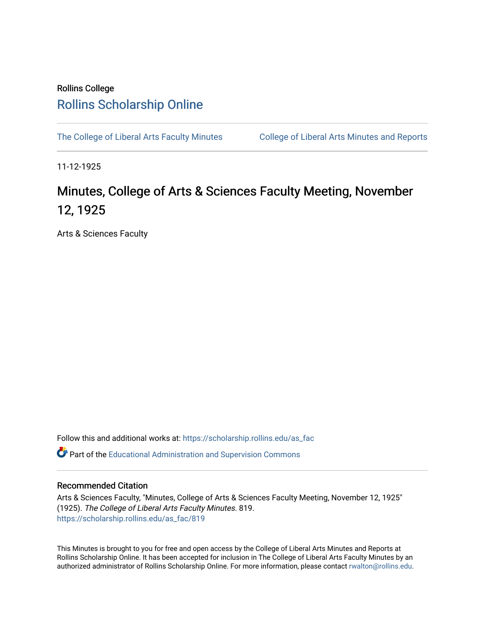## Rollins College [Rollins Scholarship Online](https://scholarship.rollins.edu/)

[The College of Liberal Arts Faculty Minutes](https://scholarship.rollins.edu/as_fac) College of Liberal Arts Minutes and Reports

11-12-1925

## Minutes, College of Arts & Sciences Faculty Meeting, November 12, 1925

Arts & Sciences Faculty

Follow this and additional works at: [https://scholarship.rollins.edu/as\\_fac](https://scholarship.rollins.edu/as_fac?utm_source=scholarship.rollins.edu%2Fas_fac%2F819&utm_medium=PDF&utm_campaign=PDFCoverPages) 

**P** Part of the [Educational Administration and Supervision Commons](http://network.bepress.com/hgg/discipline/787?utm_source=scholarship.rollins.edu%2Fas_fac%2F819&utm_medium=PDF&utm_campaign=PDFCoverPages)

## Recommended Citation

Arts & Sciences Faculty, "Minutes, College of Arts & Sciences Faculty Meeting, November 12, 1925" (1925). The College of Liberal Arts Faculty Minutes. 819. [https://scholarship.rollins.edu/as\\_fac/819](https://scholarship.rollins.edu/as_fac/819?utm_source=scholarship.rollins.edu%2Fas_fac%2F819&utm_medium=PDF&utm_campaign=PDFCoverPages) 

This Minutes is brought to you for free and open access by the College of Liberal Arts Minutes and Reports at Rollins Scholarship Online. It has been accepted for inclusion in The College of Liberal Arts Faculty Minutes by an authorized administrator of Rollins Scholarship Online. For more information, please contact [rwalton@rollins.edu](mailto:rwalton@rollins.edu).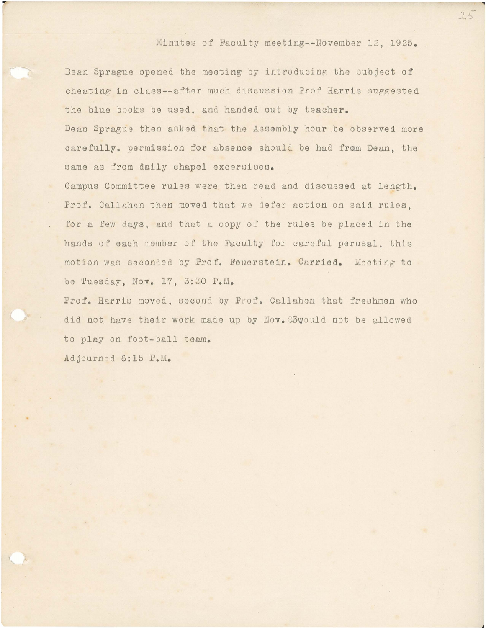Minutes of Faculty meeting -- November 12, 1925.

Dean Sprague opened the meeting by introducing the subject of cheating in class--after much discussion Prof Harris suggested the blue books be used, and handed out by teacher.

Dean Sprague then asked that the Assembly hour be observed more carefully. permission for absence should be had fram Dean, the same as from daily chapel excersises.

Campus Committee rules were then read and discussed at length. Prof. Callahan then moved that we defer action on said rules. for a few days, and that a copy of the rules be placed in the hands of each member of the Faculty for careful perusal, this motion was seconded by Prof. Feuerstein. Carried. Meeting to be Tuesday, Nov. 17, 3:30 P.M.

Prof. Harris moved, second by Prof. Callahen that freshmen who did not have their work made up by Nov. 23would not be allowed to play on foot-ball team.

Adjourned 6:15 P.M.